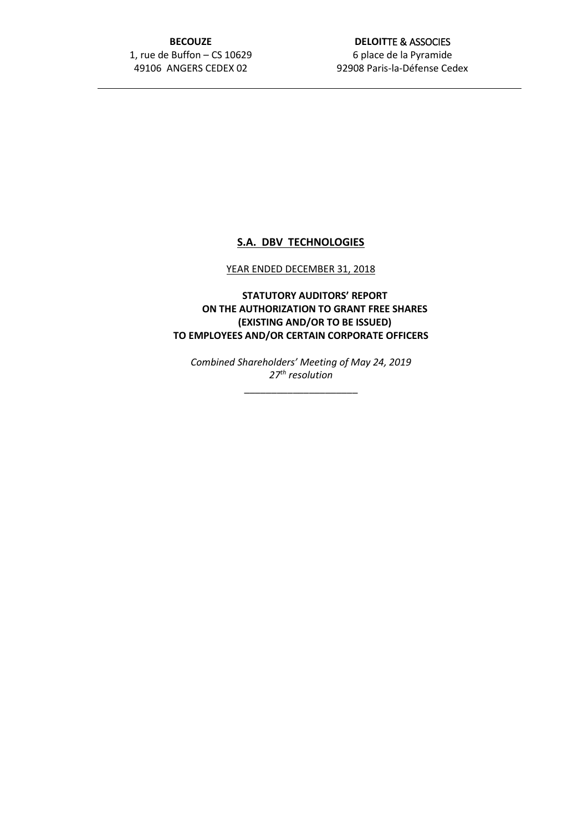## **BECOUZE** 1, rue de Buffon – CS 10629 49106 ANGERS CEDEX 02

## **DELOIT**TE & ASSOCIES 6 place de la Pyramide 92908 Paris-la-Défense Cedex

# **S.A. DBV TECHNOLOGIES**

#### YEAR ENDED DECEMBER 31, 2018

**STATUTORY AUDITORS' REPORT ON THE AUTHORIZATION TO GRANT FREE SHARES (EXISTING AND/OR TO BE ISSUED) TO EMPLOYEES AND/OR CERTAIN CORPORATE OFFICERS**

*Combined Shareholders' Meeting of May 24, 2019 27th resolution*

\_\_\_\_\_\_\_\_\_\_\_\_\_\_\_\_\_\_\_\_\_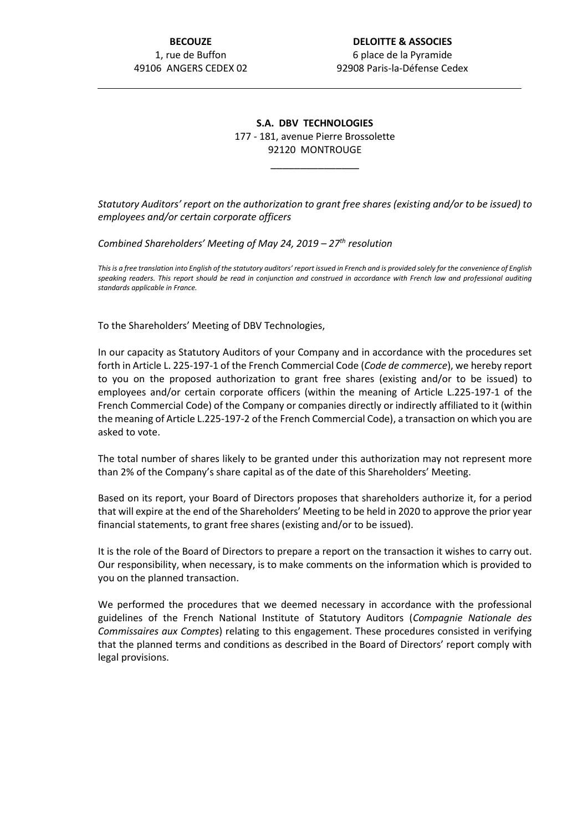## **S.A. DBV TECHNOLOGIES** 177 - 181, avenue Pierre Brossolette 92120 MONTROUGE

\_\_\_\_\_\_\_\_\_\_\_\_\_\_\_

*Statutory Auditors' report on the authorization to grant free shares (existing and/or to be issued) to employees and/or certain corporate officers*

*Combined Shareholders' Meeting of May 24, 2019 – 27th resolution*

*This is a free translation into English of the statutory auditors' report issued in French and is provided solely for the convenience of English speaking readers. This report should be read in conjunction and construed in accordance with French law and professional auditing standards applicable in France.*

To the Shareholders' Meeting of DBV Technologies,

In our capacity as Statutory Auditors of your Company and in accordance with the procedures set forth in Article L. 225-197-1 of the French Commercial Code (*Code de commerce*), we hereby report to you on the proposed authorization to grant free shares (existing and/or to be issued) to employees and/or certain corporate officers (within the meaning of Article L.225-197-1 of the French Commercial Code) of the Company or companies directly or indirectly affiliated to it (within the meaning of Article L.225-197-2 of the French Commercial Code), a transaction on which you are asked to vote.

The total number of shares likely to be granted under this authorization may not represent more than 2% of the Company's share capital as of the date of this Shareholders' Meeting.

Based on its report, your Board of Directors proposes that shareholders authorize it, for a period that will expire at the end of the Shareholders' Meeting to be held in 2020 to approve the prior year financial statements, to grant free shares (existing and/or to be issued).

It is the role of the Board of Directors to prepare a report on the transaction it wishes to carry out. Our responsibility, when necessary, is to make comments on the information which is provided to you on the planned transaction.

We performed the procedures that we deemed necessary in accordance with the professional guidelines of the French National Institute of Statutory Auditors (*Compagnie Nationale des Commissaires aux Comptes*) relating to this engagement. These procedures consisted in verifying that the planned terms and conditions as described in the Board of Directors' report comply with legal provisions.